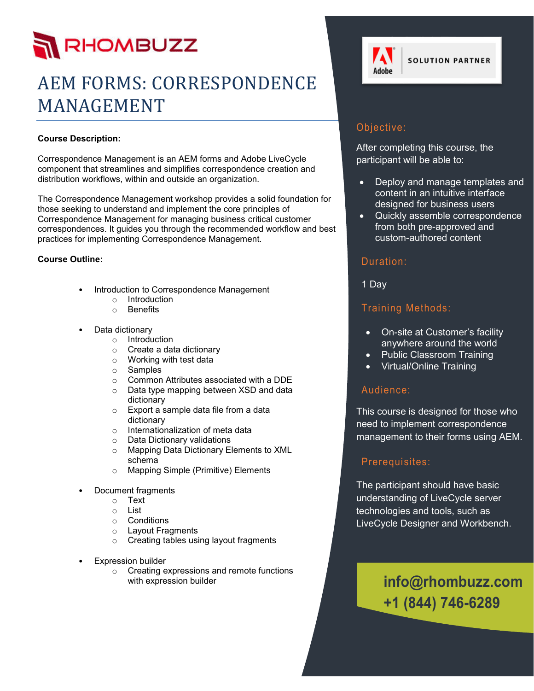# RHOMBUZZ

## AEM FORMS: CORRESPONDENCE MANAGEMENT

#### **Course Description:**

Correspondence Management is an AEM forms and Adobe LiveCycle component that streamlines and simplifies correspondence creation and distribution workflows, within and outside an organization.

The Correspondence Management workshop provides a solid foundation for those seeking to understand and implement the core principles of Correspondence Management for managing business critical customer correspondences. It guides you through the recommended workflow and best practices for implementing Correspondence Management.

#### **Course Outline:**

- Introduction to Correspondence Management
	- o Introduction
	- o Benefits
- Data dictionary
	- o Introduction
		- o Create a data dictionary
		- o Working with test data
	- o Samples
	- o Common Attributes associated with a DDE
	- o Data type mapping between XSD and data dictionary
	- o Export a sample data file from a data dictionary
	- o Internationalization of meta data
	- o Data Dictionary validations
	- o Mapping Data Dictionary Elements to XML schema
	- o Mapping Simple (Primitive) Elements
- Document fragments
	- o Text
	- o List
	- o Conditions
	- o Layout Fragments
	- o Creating tables using layout fragments
- **Expression builder** 
	- o Creating expressions and remote functions with expression builder



#### Objective:

After completing this course, the participant will be able to:

- Deploy and manage templates and content in an intuitive interface designed for business users
- Quickly assemble correspondence from both pre-approved and custom-authored content

#### Duration:

1 Day

#### Training Methods:

- On-site at Customer's facility anywhere around the world
- Public Classroom Training
- Virtual/Online Training

#### Audience:

This course is designed for those who need to implement correspondence management to their forms using AEM.

#### Prerequisites:

The participant should have basic understanding of LiveCycle server technologies and tools, such as LiveCycle Designer and Workbench.

### **info@rhombuzz.com +1 (844) 746-6289**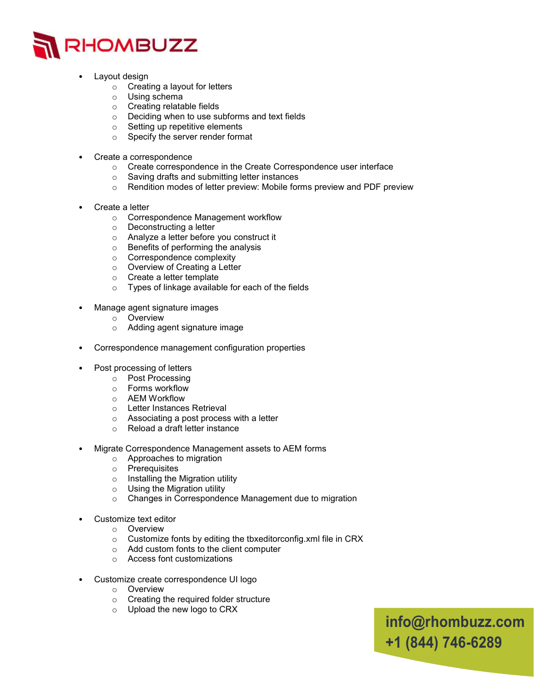

- Layout design
	- o Creating a layout for letters
	- o Using schema
	- o Creating relatable fields
	- o Deciding when to use subforms and text fields
	- $\circ$  Setting up repetitive elements
	- o Specify the server render format
- Create a correspondence
	- o Create correspondence in the Create Correspondence user interface
	- o Saving drafts and submitting letter instances
	- o Rendition modes of letter preview: Mobile forms preview and PDF preview
- Create a letter
	- o Correspondence Management workflow
	- o Deconstructing a letter
	- o Analyze a letter before you construct it
	- o Benefits of performing the analysis
	- o Correspondence complexity
	- o Overview of Creating a Letter
	- o Create a letter template
	- o Types of linkage available for each of the fields
- Manage agent signature images
	- o Overview
	- o Adding agent signature image
- Correspondence management configuration properties
- Post processing of letters
	- o Post Processing
	- o Forms workflow
	- o AEM Workflow
	- o Letter Instances Retrieval
	- o Associating a post process with a letter
	- o Reload a draft letter instance
- Migrate Correspondence Management assets to AEM forms
	- o Approaches to migration
	- o Prerequisites
	- o Installing the Migration utility
	- o Using the Migration utility
	- o Changes in Correspondence Management due to migration
	- Customize text editor
		- o Overview
		- o Customize fonts by editing the tbxeditorconfig.xml file in CRX
		- o Add custom fonts to the client computer
		- o Access font customizations
- Customize create correspondence UI logo
	- o Overview
	- o Creating the required folder structure
	- o Upload the new logo to CRX

**info@rhombuzz.com +1 (844) 746-6289**